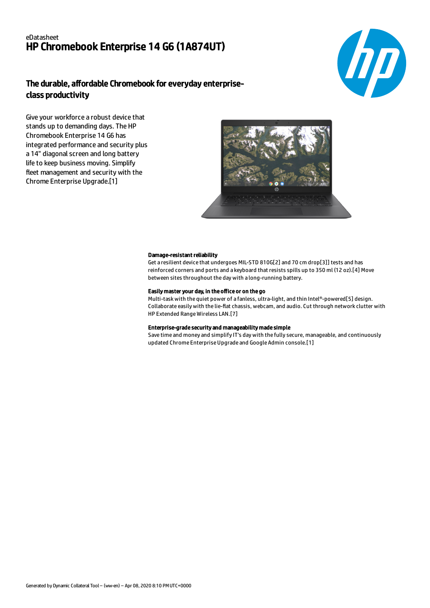# eDatasheet HP Chromebook Enterprise 14 G6 (1A874UT)



# The durable, affordable Chromebook for everyday enterpriseclass productivity

Give your workforce a robust device that stands up to demanding days. The HP Chromebook Enterprise 14 G6 has integrated performance and security plus a 14" diagonal screen and long battery life to keep business moving. Simplify fleet management and security with the Chrome Enterprise Upgrade.[1]



## Damage-resistant reliability

Get a resilient device that undergoes MIL-STD 810G[2] and 70 cm drop[3]] tests and has reinforced corners and ports and a keyboard that resists spills up to 350 ml (12 oz).[4] Move between sites throughout the day with a long-running battery.

## Easily master your day, in the office or on the go

Multi-task with the quiet power of a fanless, ultra-light, and thin Intel®-powered[5] design. Collaborate easily with the lie-flat chassis, webcam, and audio. Cut through network clutter with HP Extended Range Wireless LAN.[7]

## Enterprise-grade security and manageability made simple

Save time and money and simplify IT's day with the fully secure, manageable, and continuously updated Chrome Enterprise Upgrade and Google Admin console.[1]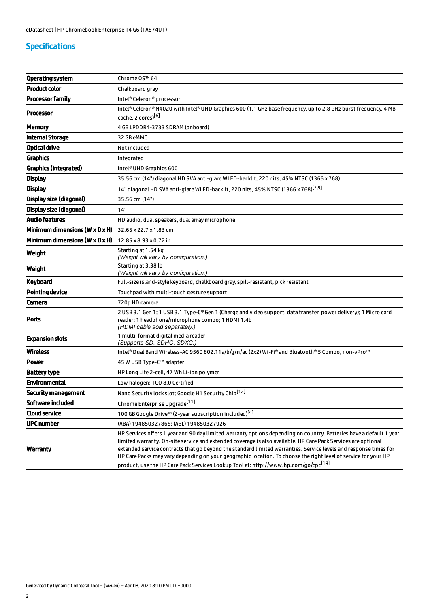# Specifications

| <b>Operating system</b>                      | Chrome OS™ 64                                                                                                                                                                                                                                                                                                                                                                                                                                                                                                                                                                 |
|----------------------------------------------|-------------------------------------------------------------------------------------------------------------------------------------------------------------------------------------------------------------------------------------------------------------------------------------------------------------------------------------------------------------------------------------------------------------------------------------------------------------------------------------------------------------------------------------------------------------------------------|
| <b>Product color</b>                         | Chalkboard gray                                                                                                                                                                                                                                                                                                                                                                                                                                                                                                                                                               |
| <b>Processor family</b>                      | Intel® Celeron® processor                                                                                                                                                                                                                                                                                                                                                                                                                                                                                                                                                     |
| <b>Processor</b>                             | Intel® Celeron® N4020 with Intel® UHD Graphics 600 (1.1 GHz base frequency, up to 2.8 GHz burst frequency, 4 MB<br>cache, 2 cores)[6]                                                                                                                                                                                                                                                                                                                                                                                                                                         |
| <b>Memory</b>                                | 4 GB LPDDR4-3733 SDRAM (onboard)                                                                                                                                                                                                                                                                                                                                                                                                                                                                                                                                              |
| <b>Internal Storage</b>                      | 32 GB eMMC                                                                                                                                                                                                                                                                                                                                                                                                                                                                                                                                                                    |
| <b>Optical drive</b>                         | Not included                                                                                                                                                                                                                                                                                                                                                                                                                                                                                                                                                                  |
| <b>Graphics</b>                              | Integrated                                                                                                                                                                                                                                                                                                                                                                                                                                                                                                                                                                    |
| Graphics (integrated)                        | Intel <sup>®</sup> UHD Graphics 600                                                                                                                                                                                                                                                                                                                                                                                                                                                                                                                                           |
| <b>Display</b>                               | 35.56 cm (14") diagonal HD SVA anti-glare WLED-backlit, 220 nits, 45% NTSC (1366 x 768)                                                                                                                                                                                                                                                                                                                                                                                                                                                                                       |
| <b>Display</b>                               | 14" diagonal HD SVA anti-glare WLED-backlit, 220 nits, 45% NTSC (1366 x 768) <sup>[7,9]</sup>                                                                                                                                                                                                                                                                                                                                                                                                                                                                                 |
| Display size (diagonal)                      | 35.56 cm (14")                                                                                                                                                                                                                                                                                                                                                                                                                                                                                                                                                                |
| Display size (diagonal)                      | 14"                                                                                                                                                                                                                                                                                                                                                                                                                                                                                                                                                                           |
| <b>Audio features</b>                        | HD audio, dual speakers, dual array microphone                                                                                                                                                                                                                                                                                                                                                                                                                                                                                                                                |
| Minimum dimensions ( $W \times D \times H$ ) | 32.65 x 22.7 x 1.83 cm                                                                                                                                                                                                                                                                                                                                                                                                                                                                                                                                                        |
| Minimum dimensions ( $W \times D \times H$ ) | 12.85 x 8.93 x 0.72 in                                                                                                                                                                                                                                                                                                                                                                                                                                                                                                                                                        |
| Weight                                       | Starting at 1.54 kg<br>(Weight will vary by configuration.)                                                                                                                                                                                                                                                                                                                                                                                                                                                                                                                   |
| Weight                                       | Starting at 3.38 lb<br>(Weight will vary by configuration.)                                                                                                                                                                                                                                                                                                                                                                                                                                                                                                                   |
| Keyboard                                     | Full-size island-style keyboard, chalkboard gray, spill-resistant, pick resistant                                                                                                                                                                                                                                                                                                                                                                                                                                                                                             |
| <b>Pointing device</b>                       | Touchpad with multi-touch gesture support                                                                                                                                                                                                                                                                                                                                                                                                                                                                                                                                     |
| Camera                                       | 720p HD camera                                                                                                                                                                                                                                                                                                                                                                                                                                                                                                                                                                |
| Ports                                        | 2 USB 3.1 Gen 1; 1 USB 3.1 Type-C® Gen 1 (Charge and video support, data transfer, power delivery); 1 Micro card<br>reader; 1 headphone/microphone combo; 1 HDMI 1.4b<br>(HDMI cable sold separately.)                                                                                                                                                                                                                                                                                                                                                                        |
| <b>Expansion slots</b>                       | 1 multi-format digital media reader<br>(Supports SD, SDHC, SDXC.)                                                                                                                                                                                                                                                                                                                                                                                                                                                                                                             |
| <b>Wireless</b>                              | Intel® Dual Band Wireless-AC 9560 802.11a/b/g/n/ac (2x2) Wi-Fi® and Bluetooth® 5 Combo, non-vPro™                                                                                                                                                                                                                                                                                                                                                                                                                                                                             |
| Power                                        | 45 W USB Type-C™ adapter                                                                                                                                                                                                                                                                                                                                                                                                                                                                                                                                                      |
| <b>Battery type</b>                          | HP Long Life 2-cell, 47 Wh Li-ion polymer                                                                                                                                                                                                                                                                                                                                                                                                                                                                                                                                     |
| <b>Environmental</b>                         | Low halogen; TCO 8.0 Certified                                                                                                                                                                                                                                                                                                                                                                                                                                                                                                                                                |
| <b>Security management</b>                   | Nano Security lock slot; Google H1 Security Chip <sup>[12]</sup>                                                                                                                                                                                                                                                                                                                                                                                                                                                                                                              |
| Software included                            | Chrome Enterprise Upgrade <sup>[11]</sup>                                                                                                                                                                                                                                                                                                                                                                                                                                                                                                                                     |
| <b>Cloud service</b>                         | 100 GB Google Drive™ (2-year subscription included) <sup>[4]</sup>                                                                                                                                                                                                                                                                                                                                                                                                                                                                                                            |
| <b>UPC number</b>                            | (ABA) 194850327865; (ABL) 194850327926                                                                                                                                                                                                                                                                                                                                                                                                                                                                                                                                        |
| <b>Warranty</b>                              | HP Services offers 1 year and 90 day limited warranty options depending on country. Batteries have a default 1 year<br>limited warranty. On-site service and extended coverage is also available. HP Care Pack Services are optional<br>extended service contracts that go beyond the standard limited warranties. Service levels and response times for<br>HP Care Packs may vary depending on your geographic location. To choose the right level of service for your HP<br>product, use the HP Care Pack Services Lookup Tool at: http://www.hp.com/go/cpc <sup>[14]</sup> |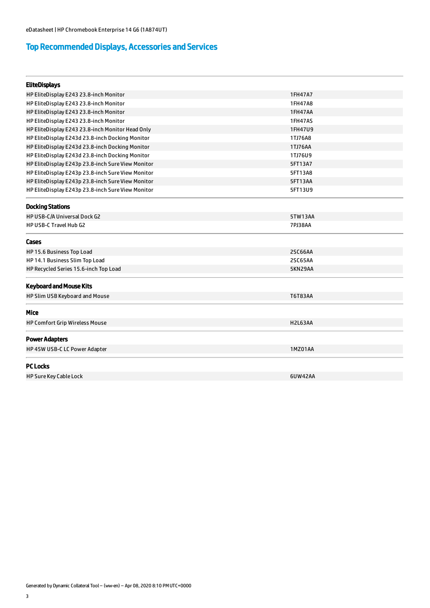# Top Recommended Displays, Accessories and Services

| <b>EliteDisplays</b>                              |                |  |
|---------------------------------------------------|----------------|--|
| HP EliteDisplay E243 23.8-inch Monitor            | 1FH47A7        |  |
| HP EliteDisplay E243 23.8-inch Monitor            | 1FH47A8        |  |
| HP EliteDisplay E243 23.8-inch Monitor            | 1FH47AA        |  |
| HP EliteDisplay E243 23.8-inch Monitor            | 1FH47AS        |  |
| HP EliteDisplay E243 23.8-inch Monitor Head Only  | 1FH47U9        |  |
| HP EliteDisplay E243d 23.8-inch Docking Monitor   | 1TJ76A8        |  |
| HP EliteDisplay E243d 23.8-inch Docking Monitor   | 1TJ76AA        |  |
| HP EliteDisplay E243d 23.8-inch Docking Monitor   | 1TJ76U9        |  |
| HP EliteDisplay E243p 23.8-inch Sure View Monitor | 5FT13A7        |  |
| HP EliteDisplay E243p 23.8-inch Sure View Monitor | 5FT13A8        |  |
| HP EliteDisplay E243p 23.8-inch Sure View Monitor | 5FT13AA        |  |
| HP EliteDisplay E243p 23.8-inch Sure View Monitor | 5FT13U9        |  |
| <b>Docking Stations</b>                           |                |  |
| HP USB-C/A Universal Dock G2                      | 5TW13AA        |  |
| HP USB-C Travel Hub G2                            | 7PJ38AA        |  |
| Cases                                             |                |  |
| HP 15.6 Business Top Load                         | 2SC66AA        |  |
| HP 14.1 Business Slim Top Load                    | 2SC65AA        |  |
| HP Recycled Series 15.6-inch Top Load             | 5KN29AA        |  |
| <b>Keyboard and Mouse Kits</b>                    |                |  |
| HP Slim USB Keyboard and Mouse                    | T6T83AA        |  |
| Mice                                              |                |  |
| <b>HP Comfort Grip Wireless Mouse</b>             | <b>H2L63AA</b> |  |
| <b>Power Adapters</b>                             |                |  |
| HP 45W USB-C LC Power Adapter                     | 1MZ01AA        |  |
| <b>PC Locks</b>                                   |                |  |
| HP Sure Key Cable Lock                            | 6UW42AA        |  |